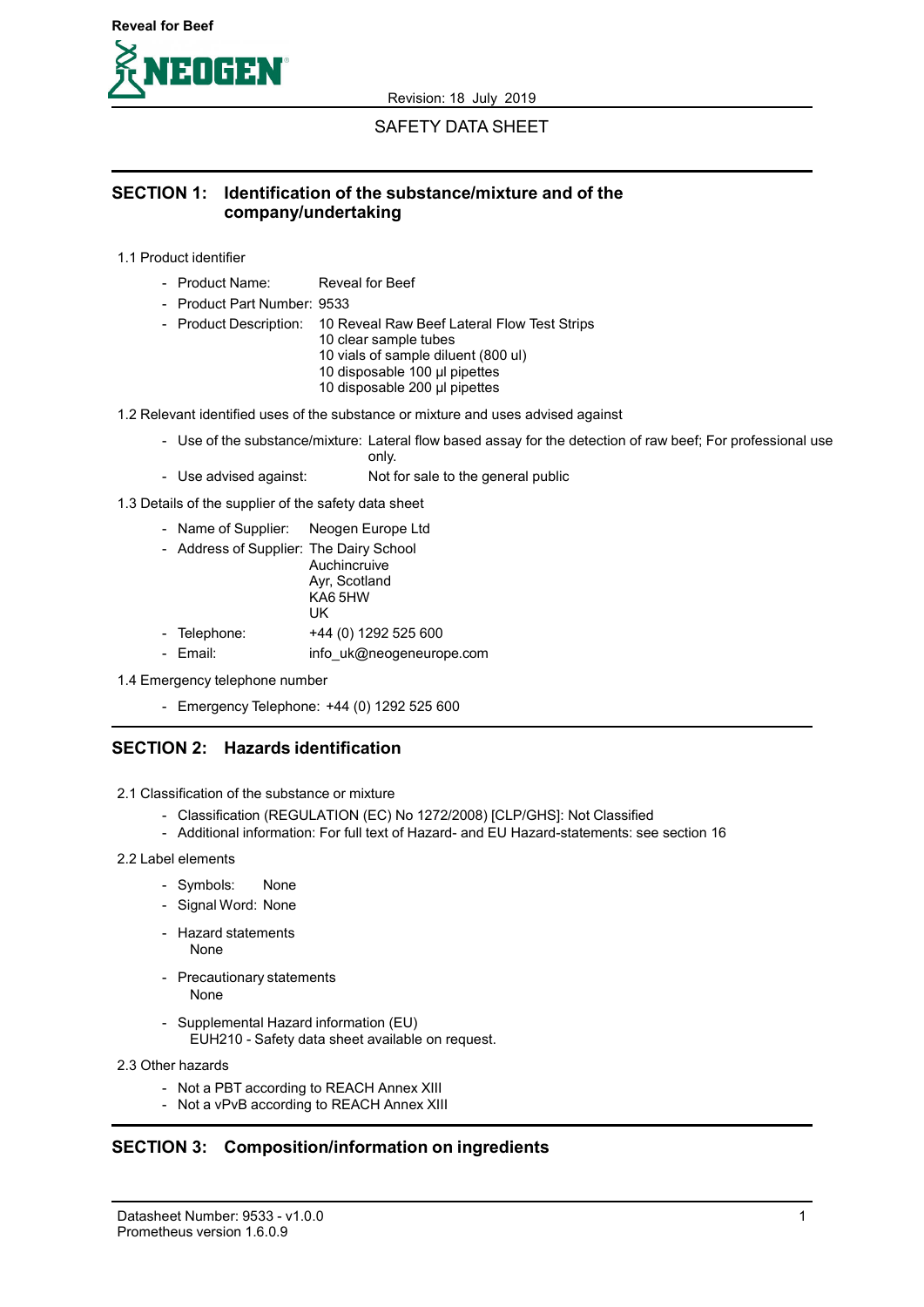

### SAFETY DATA SHEET

### SECTION 1: Identification of the substance/mixture and of the company/undertaking

1.1 Product identifier

- Product Name: Reveal for Beef
- Product Part Number: 9533
- Product Description: 10 Reveal Raw Beef Lateral Flow Test Strips
	- 10 clear sample tubes
		- 10 vials of sample diluent (800 ul)
		- 10 disposable 100 µl pipettes
		- 10 disposable 200 µl pipettes

1.2 Relevant identified uses of the substance or mixture and uses advised against

- Use of the substance/mixture: Lateral flow based assay for the detection of raw beef; For professional use only.
- Use advised against: Not for sale to the general public

1.3 Details of the supplier of the safety data sheet

- Name of Supplier: Neogen Europe Ltd
- Address of Supplier: The Dairy School Auchincruive Ayr, Scotland KA6 5HW UK - Telephone: +44 (0) 1292 525 600 - Email: info\_uk@neogeneurope.com
- 1.4 Emergency telephone number
	- Emergency Telephone: +44 (0) 1292 525 600

### SECTION 2: Hazards identification

2.1 Classification of the substance or mixture

- Classification (REGULATION (EC) No 1272/2008) [CLP/GHS]: Not Classified
- Additional information: For full text of Hazard- and EU Hazard-statements: see section 16

#### 2.2 Label elements

- Symbols: None
- Signal Word: None
- Hazard statements
	- None
- Precautionary statements None
	-
- Supplemental Hazard information (EU) EUH210 - Safety data sheet available on request.
- 2.3 Other hazards
	- Not a PBT according to REACH Annex XIII
	- Not a vPvB according to REACH Annex XIII

### SECTION 3: Composition/information on ingredients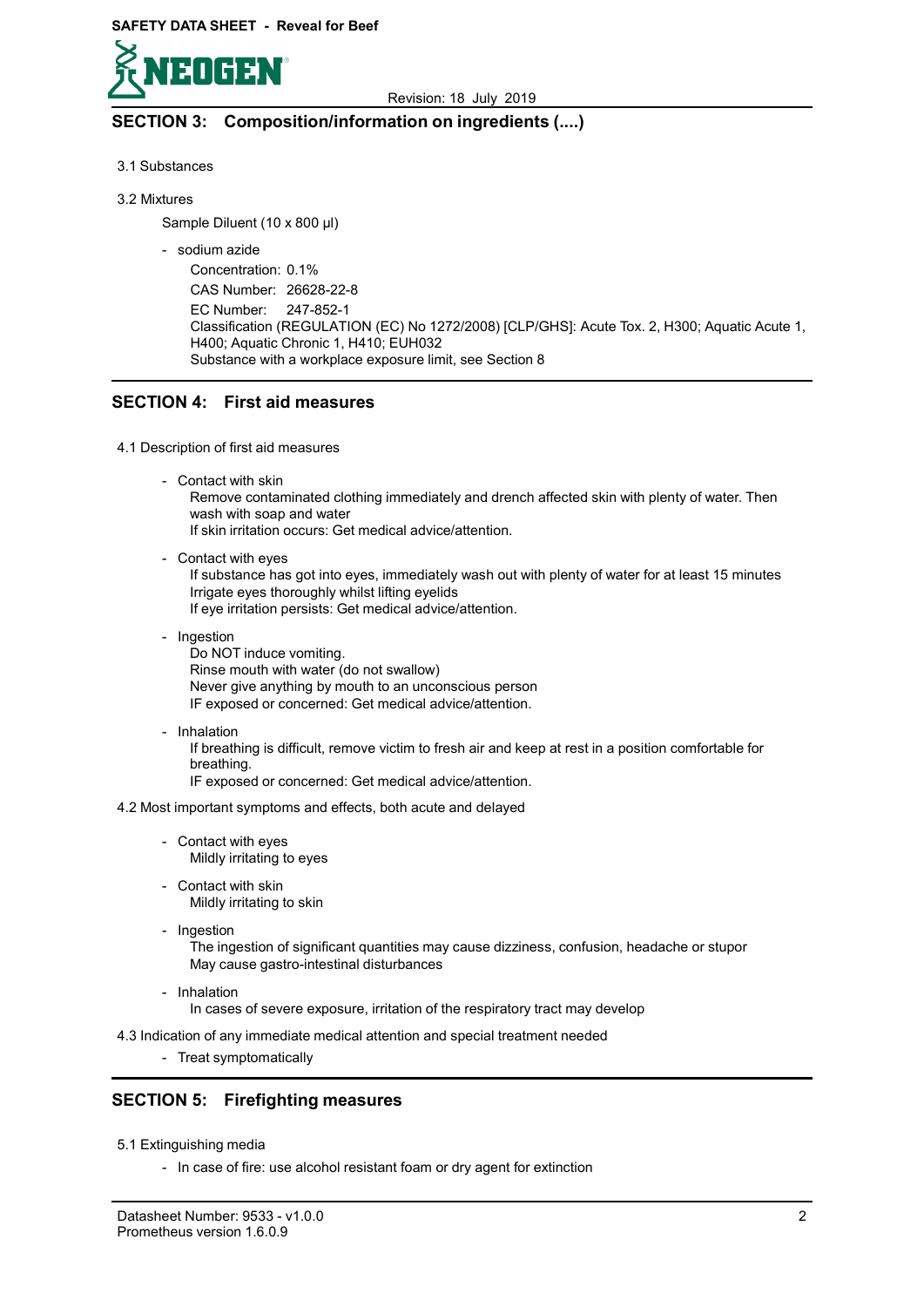

# SECTION 3: Composition/information on ingredients (....)

- 3.1 Substances
- 3.2 Mixtures

Sample Diluent (10 x 800 µl)

- sodium azide

Concentration: 0.1% CAS Number: 26628-22-8 EC Number: 247-852-1 Classification (REGULATION (EC) No 1272/2008) [CLP/GHS]: Acute Tox. 2, H300; Aquatic Acute 1, H400; Aquatic Chronic 1, H410; EUH032 Substance with a workplace exposure limit, see Section 8

## SECTION 4: First aid measures

### 4.1 Description of first aid measures

- Contact with skin

Remove contaminated clothing immediately and drench affected skin with plenty of water. Then wash with soap and water

If skin irritation occurs: Get medical advice/attention.

- Contact with eyes

If substance has got into eyes, immediately wash out with plenty of water for at least 15 minutes Irrigate eyes thoroughly whilst lifting eyelids If eye irritation persists: Get medical advice/attention.

- Ingestion

Do NOT induce vomiting. Rinse mouth with water (do not swallow) Never give anything by mouth to an unconscious person IF exposed or concerned: Get medical advice/attention.

- Inhalation

If breathing is difficult, remove victim to fresh air and keep at rest in a position comfortable for breathing.

IF exposed or concerned: Get medical advice/attention.

4.2 Most important symptoms and effects, both acute and delayed

- Contact with eyes Mildly irritating to eyes
- Contact with skin Mildly irritating to skin
- Ingestion

The ingestion of significant quantities may cause dizziness, confusion, headache or stupor May cause gastro-intestinal disturbances

- Inhalation

In cases of severe exposure, irritation of the respiratory tract may develop

4.3 Indication of any immediate medical attention and special treatment needed

- Treat symptomatically

# SECTION 5: Firefighting measures

- 5.1 Extinguishing media
	- In case of fire: use alcohol resistant foam or dry agent for extinction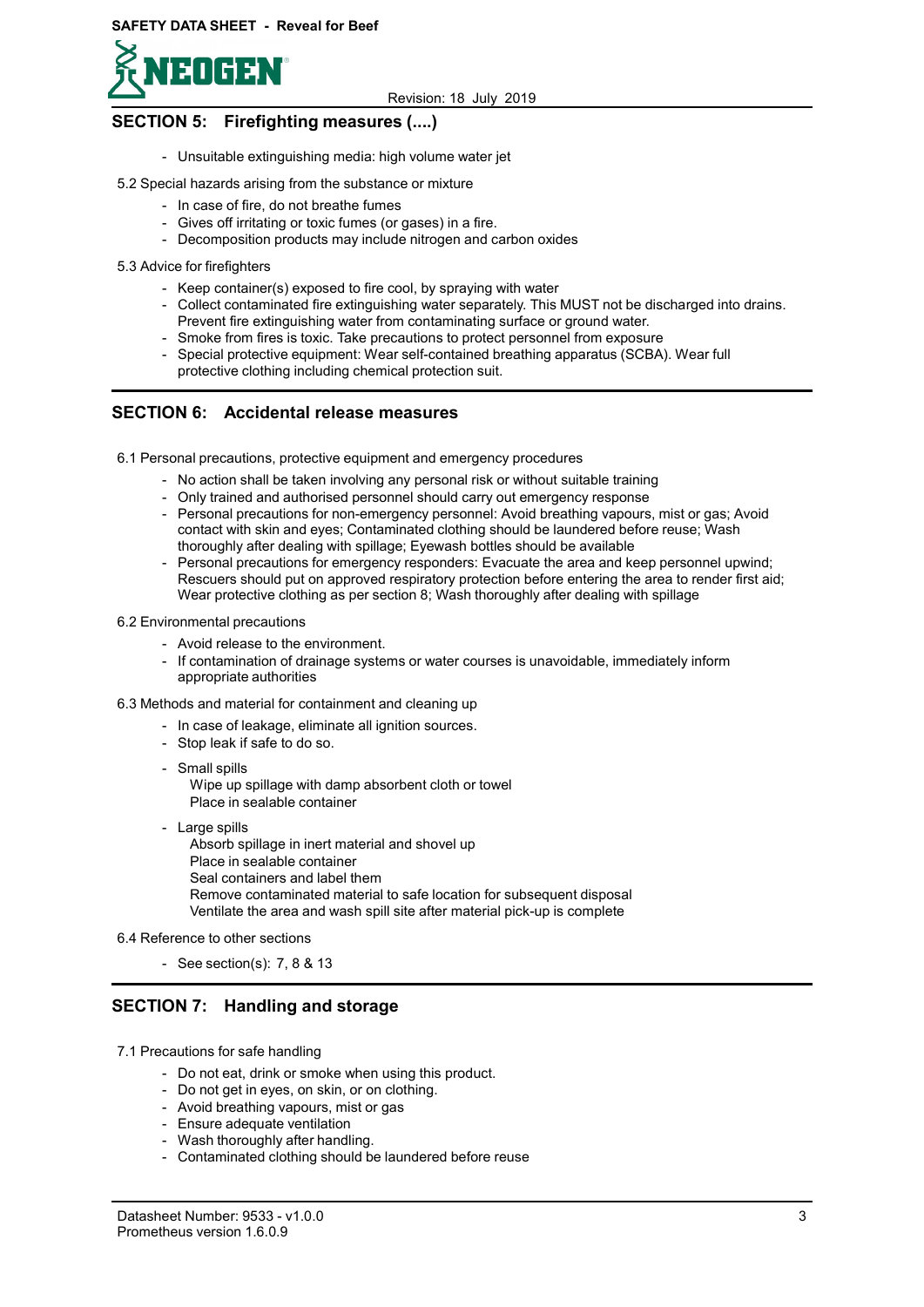

# SECTION 5: Firefighting measures (....)

- Unsuitable extinguishing media: high volume water jet
- 5.2 Special hazards arising from the substance or mixture
	- In case of fire, do not breathe fumes
	- Gives off irritating or toxic fumes (or gases) in a fire.
	- Decomposition products may include nitrogen and carbon oxides
- 5.3 Advice for firefighters
	- Keep container(s) exposed to fire cool, by spraying with water
	- Collect contaminated fire extinguishing water separately. This MUST not be discharged into drains. Prevent fire extinguishing water from contaminating surface or ground water.
	- Smoke from fires is toxic. Take precautions to protect personnel from exposure
	- Special protective equipment: Wear self-contained breathing apparatus (SCBA). Wear full protective clothing including chemical protection suit.

## SECTION 6: Accidental release measures

- 6.1 Personal precautions, protective equipment and emergency procedures
	- No action shall be taken involving any personal risk or without suitable training
	- Only trained and authorised personnel should carry out emergency response
	- Personal precautions for non-emergency personnel: Avoid breathing vapours, mist or gas; Avoid contact with skin and eyes; Contaminated clothing should be laundered before reuse; Wash thoroughly after dealing with spillage; Eyewash bottles should be available
	- Personal precautions for emergency responders: Evacuate the area and keep personnel upwind; Rescuers should put on approved respiratory protection before entering the area to render first aid; Wear protective clothing as per section 8; Wash thoroughly after dealing with spillage
- 6.2 Environmental precautions
	- Avoid release to the environment.
	- If contamination of drainage systems or water courses is unavoidable, immediately inform appropriate authorities

### 6.3 Methods and material for containment and cleaning up

- In case of leakage, eliminate all ignition sources.
- Stop leak if safe to do so.
- Small spills

Wipe up spillage with damp absorbent cloth or towel Place in sealable container

- Large spills

Absorb spillage in inert material and shovel up Place in sealable container Seal containers and label them Remove contaminated material to safe location for subsequent disposal Ventilate the area and wash spill site after material pick-up is complete

6.4 Reference to other sections

- See section(s): 7, 8 & 13

### SECTION 7: Handling and storage

- 7.1 Precautions for safe handling
	- Do not eat, drink or smoke when using this product.
	- Do not get in eyes, on skin, or on clothing.
	- Avoid breathing vapours, mist or gas
	- Ensure adequate ventilation
	- Wash thoroughly after handling.
	- Contaminated clothing should be laundered before reuse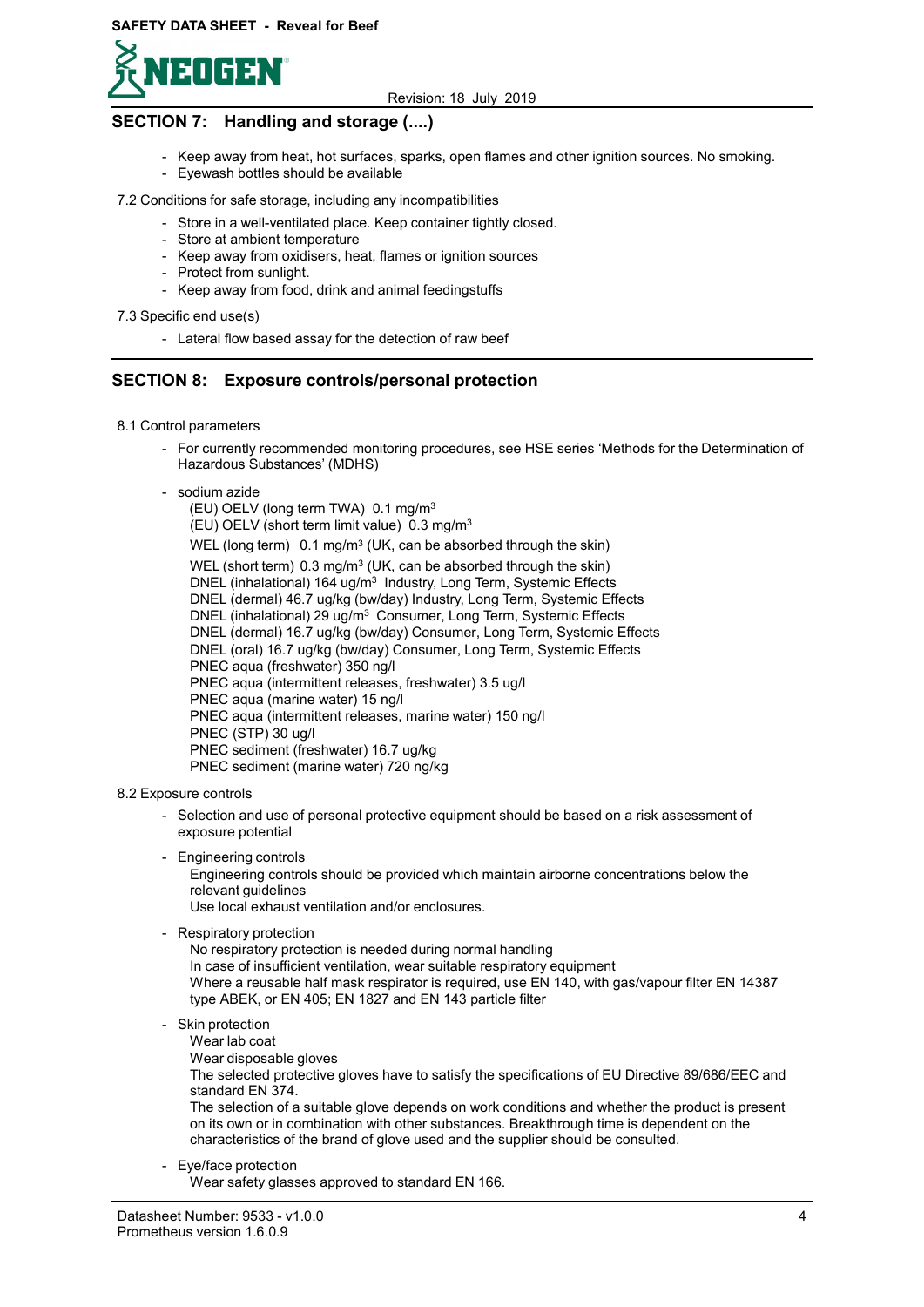

# SECTION 7: Handling and storage (....)

- Keep away from heat, hot surfaces, sparks, open flames and other ignition sources. No smoking.
- Eyewash bottles should be available

### 7.2 Conditions for safe storage, including any incompatibilities

- Store in a well-ventilated place. Keep container tightly closed.
- Store at ambient temperature
- Keep away from oxidisers, heat, flames or ignition sources
- Protect from sunlight.
	- Keep away from food, drink and animal feedingstuffs

### 7.3 Specific end use(s)

- Lateral flow based assay for the detection of raw beef

## SECTION 8: Exposure controls/personal protection

### 8.1 Control parameters

- For currently recommended monitoring procedures, see HSE series 'Methods for the Determination of Hazardous Substances' (MDHS)

### - sodium azide

 (EU) OELV (long term TWA) 0.1 mg/m<sup>3</sup> (EU) OELV (short term limit value) 0.3 mg/m<sup>3</sup> WEL (long term)  $0.1 \text{ mg/m}^3$  (UK, can be absorbed through the skin) WEL (short term)  $0.3 \text{ mg/m}^3$  (UK, can be absorbed through the skin) DNEL (inhalational) 164 ug/m<sup>3</sup> Industry, Long Term, Systemic Effects DNEL (dermal) 46.7 ug/kg (bw/day) Industry, Long Term, Systemic Effects DNEL (inhalational) 29 ug/m<sup>3</sup> Consumer, Long Term, Systemic Effects DNEL (dermal) 16.7 ug/kg (bw/day) Consumer, Long Term, Systemic Effects DNEL (oral) 16.7 ug/kg (bw/day) Consumer, Long Term, Systemic Effects PNEC aqua (freshwater) 350 ng/l PNEC aqua (intermittent releases, freshwater) 3.5 ug/l PNEC aqua (marine water) 15 ng/l PNEC aqua (intermittent releases, marine water) 150 ng/l PNEC (STP) 30 ug/l PNEC sediment (freshwater) 16.7 ug/kg PNEC sediment (marine water) 720 ng/kg

### 8.2 Exposure controls

- Selection and use of personal protective equipment should be based on a risk assessment of exposure potential
- Engineering controls
	- Engineering controls should be provided which maintain airborne concentrations below the relevant guidelines

Use local exhaust ventilation and/or enclosures.

- Respiratory protection

No respiratory protection is needed during normal handling In case of insufficient ventilation, wear suitable respiratory equipment Where a reusable half mask respirator is required, use EN 140, with gas/vapour filter EN 14387 type ABEK, or EN 405; EN 1827 and EN 143 particle filter

### - Skin protection

- Wear lab coat
- Wear disposable gloves

The selected protective gloves have to satisfy the specifications of EU Directive 89/686/EEC and standard EN 374.

The selection of a suitable glove depends on work conditions and whether the product is present on its own or in combination with other substances. Breakthrough time is dependent on the characteristics of the brand of glove used and the supplier should be consulted.

### - Eye/face protection

Wear safety glasses approved to standard EN 166.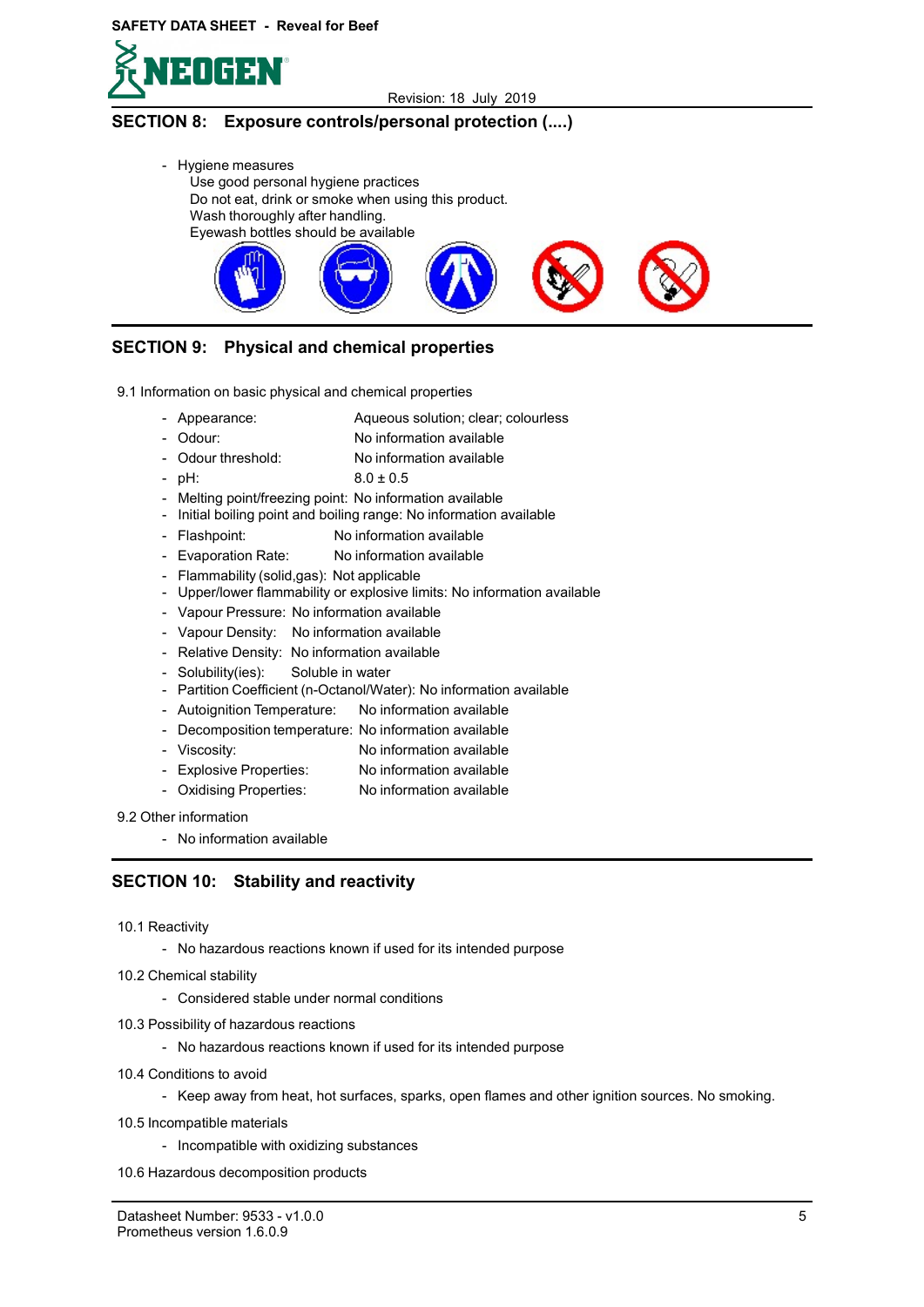



# SECTION 8: Exposure controls/personal protection (....)

- Hygiene measures Use good personal hygiene practices Do not eat, drink or smoke when using this product. Wash thoroughly after handling. Eyewash bottles should be available



Aqueous solution; clear; colourless

# SECTION 9: Physical and chemical properties

- 9.1 Information on basic physical and chemical properties
	- Appearance:
	- Odour: No information available
	- Odour threshold: No information available
	- pH:  $8.0 \pm 0.5$
	- Melting point/freezing point: No information available
	- Initial boiling point and boiling range: No information available
	- Flashpoint: No information available
	- Evaporation Rate: No information available
	- Flammability (solid,gas): Not applicable
	- Upper/lower flammability or explosive limits: No information available
	- Vapour Pressure: No information available
	- Vapour Density: No information available
	- Relative Density: No information available
	- Solubility(ies): Soluble in water
	- Partition Coefficient (n-Octanol/Water): No information available
	- Autoignition Temperature: No information available
	- Decomposition temperature: No information available
	- Viscosity: No information available
	- Explosive Properties: No information available
	- Oxidising Properties: No information available
- 9.2 Other information
	- No information available

### SECTION 10: Stability and reactivity

- 10.1 Reactivity
	- No hazardous reactions known if used for its intended purpose
- 10.2 Chemical stability
	- Considered stable under normal conditions
- 10.3 Possibility of hazardous reactions
	- No hazardous reactions known if used for its intended purpose
- 10.4 Conditions to avoid
	- Keep away from heat, hot surfaces, sparks, open flames and other ignition sources. No smoking.
- 10.5 Incompatible materials
	- Incompatible with oxidizing substances
- 10.6 Hazardous decomposition products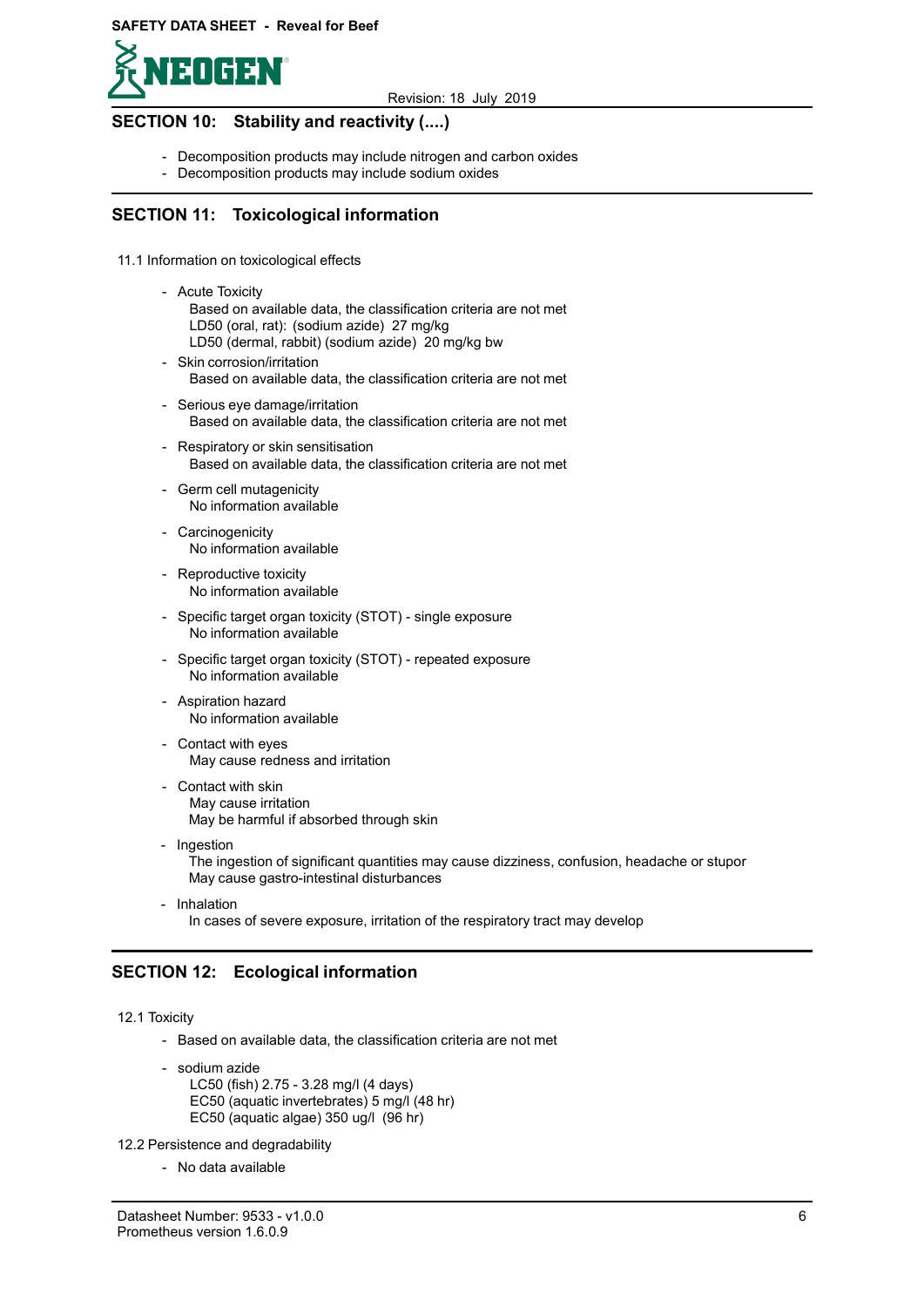

### SECTION 10: Stability and reactivity (....)

- Decomposition products may include nitrogen and carbon oxides
- Decomposition products may include sodium oxides

### SECTION 11: Toxicological information

- 11.1 Information on toxicological effects
	- Acute Toxicity Based on available data, the classification criteria are not met LD50 (oral, rat): (sodium azide) 27 mg/kg LD50 (dermal, rabbit) (sodium azide) 20 mg/kg bw
	- Skin corrosion/irritation Based on available data, the classification criteria are not met
	- Serious eye damage/irritation Based on available data, the classification criteria are not met
	- Respiratory or skin sensitisation Based on available data, the classification criteria are not met
	- Germ cell mutagenicity No information available
	- Carcinogenicity No information available
	- Reproductive toxicity No information available
	- Specific target organ toxicity (STOT) single exposure No information available
	- Specific target organ toxicity (STOT) repeated exposure No information available
	- Aspiration hazard No information available
	- Contact with eyes May cause redness and irritation
	- Contact with skin May cause irritation May be harmful if absorbed through skin
	- Ingestion The ingestion of significant quantities may cause dizziness, confusion, headache or stupor May cause gastro-intestinal disturbances
	- Inhalation In cases of severe exposure, irritation of the respiratory tract may develop

# SECTION 12: Ecological information

12.1 Toxicity

- Based on available data, the classification criteria are not met
- sodium azide LC50 (fish) 2.75 - 3.28 mg/l (4 days) EC50 (aquatic invertebrates) 5 mg/l (48 hr) EC50 (aquatic algae) 350 ug/l (96 hr)

12.2 Persistence and degradability

- No data available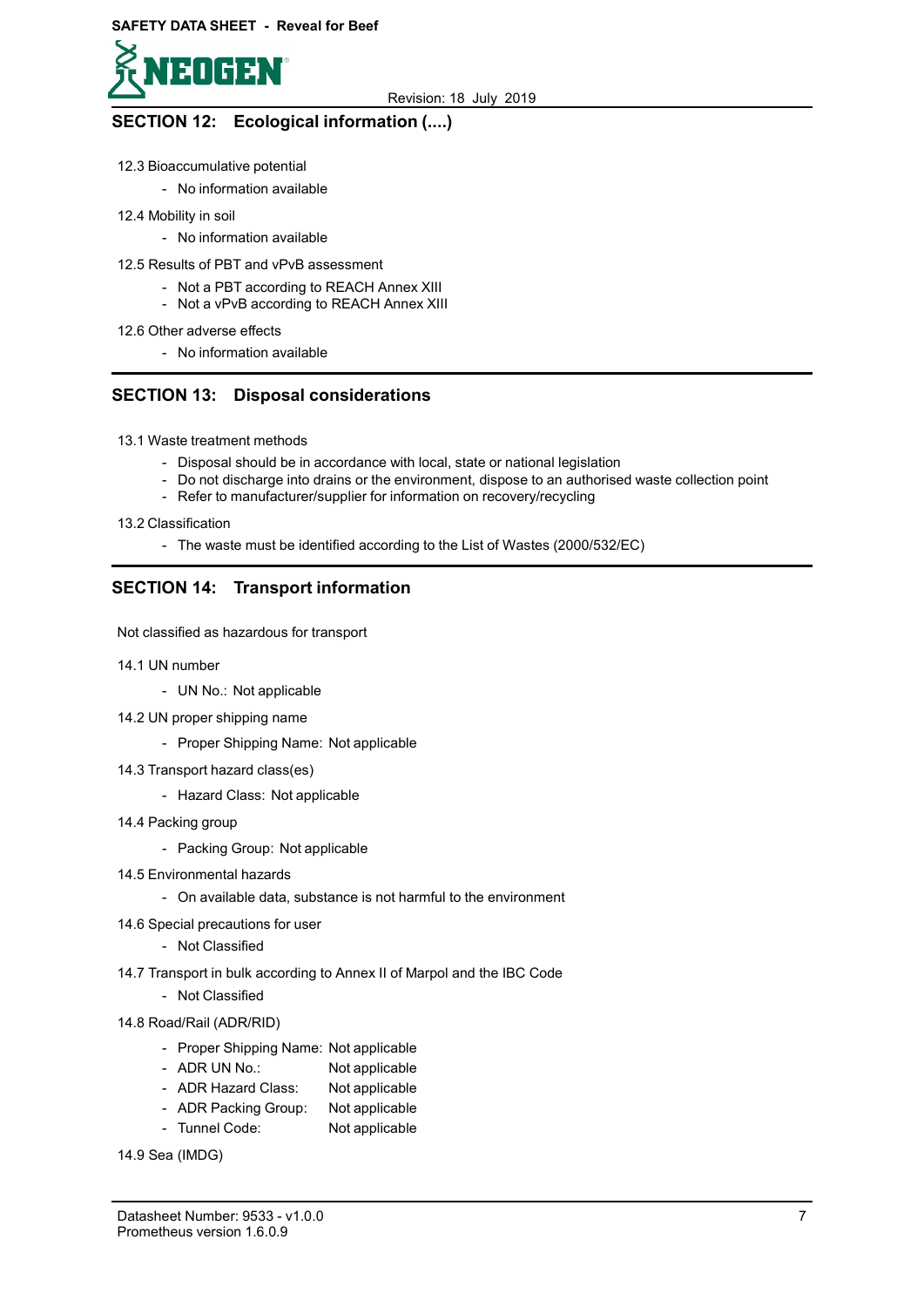

# SECTION 12: Ecological information (....)

- 12.3 Bioaccumulative potential
	- No information available
- 12.4 Mobility in soil
	- No information available
- 12.5 Results of PBT and vPvB assessment
	- Not a PBT according to REACH Annex XIII
	- Not a vPvB according to REACH Annex XIII
- 12.6 Other adverse effects
	- No information available

## SECTION 13: Disposal considerations

- 13.1 Waste treatment methods
	- Disposal should be in accordance with local, state or national legislation
	- Do not discharge into drains or the environment, dispose to an authorised waste collection point
	- Refer to manufacturer/supplier for information on recovery/recycling
- 13.2 Classification
	- The waste must be identified according to the List of Wastes (2000/532/EC)

# SECTION 14: Transport information

Not classified as hazardous for transport

- 14.1 UN number
	- UN No.: Not applicable
- 14.2 UN proper shipping name
	- Proper Shipping Name: Not applicable
- 14.3 Transport hazard class(es)
	- Hazard Class: Not applicable
- 14.4 Packing group
	- Packing Group: Not applicable
- 14.5 Environmental hazards
	- On available data, substance is not harmful to the environment
- 14.6 Special precautions for user
	- Not Classified
- 14.7 Transport in bulk according to Annex II of Marpol and the IBC Code
	- Not Classified
- 14.8 Road/Rail (ADR/RID)
	- Proper Shipping Name: Not applicable
	- ADR UN No.: Not applicable
	- ADR Hazard Class: Not applicable
	- ADR Packing Group: Not applicable
	- Tunnel Code: Not applicable

14.9 Sea (IMDG)